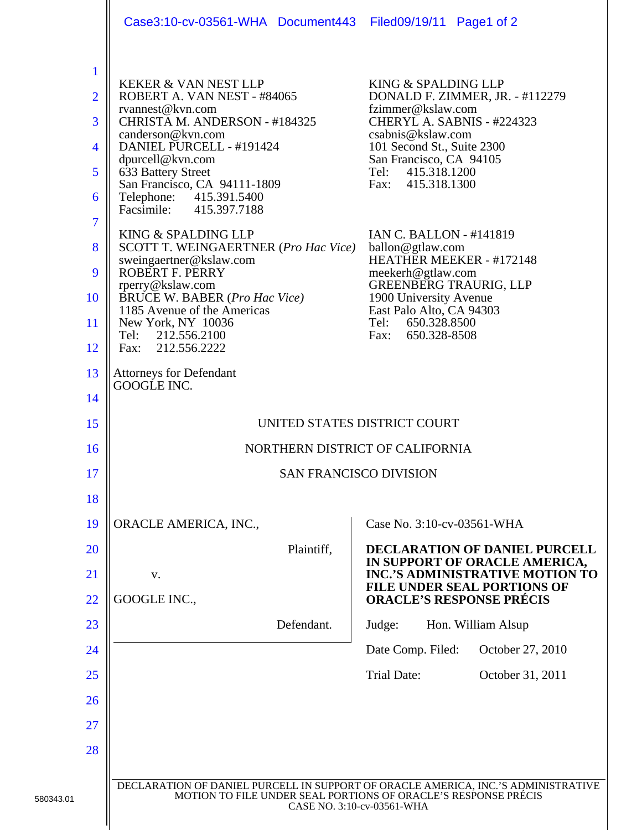|                                                                                                         | Case3:10-cv-03561-WHA Document443 Filed09/19/11 Page1 of 2                                                                                                                                                                                                                                                                                                                                                                                                                                                                                          |                                                                                                                                                                                                                                                                                                                                                                                                                                                                                       |
|---------------------------------------------------------------------------------------------------------|-----------------------------------------------------------------------------------------------------------------------------------------------------------------------------------------------------------------------------------------------------------------------------------------------------------------------------------------------------------------------------------------------------------------------------------------------------------------------------------------------------------------------------------------------------|---------------------------------------------------------------------------------------------------------------------------------------------------------------------------------------------------------------------------------------------------------------------------------------------------------------------------------------------------------------------------------------------------------------------------------------------------------------------------------------|
| $\mathbf{1}$<br>$\overline{2}$<br>3<br>$\overline{4}$<br>5<br>6<br>$\overline{7}$<br>8<br>9<br>10<br>11 | <b>KEKER &amp; VAN NEST LLP</b><br>ROBERT A. VAN NEST - #84065<br>rvannest@kvn.com<br>CHRISTA M. ANDERSON - #184325<br>canderson@kvn.com<br>DANIEL PURCELL - #191424<br>dpurcell@kvn.com<br>633 Battery Street<br>San Francisco, CA 94111-1809<br>Telephone: 415.391.5400<br>Facsimile: 415.397.7188<br>KING & SPALDING LLP<br>SCOTT T. WEINGAERTNER (Pro Hac Vice)<br>sweingaertner@kslaw.com<br>ROBERT F. PERRY<br>rperry@kslaw.com<br>BRUCE W. BABER (Pro Hac Vice)<br>1185 Avenue of the Americas<br>New York, NY 10036<br>212.556.2100<br>Tel: | KING & SPALDING LLP<br>DONALD F. ZIMMER, JR. - #112279<br>fzimmer@kslaw.com<br>CHERYL A. SABNIS - #224323<br>csabnis@kslaw.com<br>101 Second St., Suite 2300<br>San Francisco, CA 94105<br>415.318.1200<br>Tel:<br>415.318.1300<br>Fax:<br><b>IAN C. BALLON - #141819</b><br>ballon@gtlaw.com<br>HEATHER MEEKER - #172148<br>meekerh@gtlaw.com<br><b>GREENBERG TRAURIG, LLP</b><br>1900 University Avenue<br>East Palo Alto, CA 94303<br>650.328.8500<br>Tel:<br>650.328-8508<br>Fax: |
| 12<br>13                                                                                                | Fax: 212.556.2222<br><b>Attorneys for Defendant</b>                                                                                                                                                                                                                                                                                                                                                                                                                                                                                                 |                                                                                                                                                                                                                                                                                                                                                                                                                                                                                       |
| 14                                                                                                      | GOOGLE INC.                                                                                                                                                                                                                                                                                                                                                                                                                                                                                                                                         |                                                                                                                                                                                                                                                                                                                                                                                                                                                                                       |
| 15                                                                                                      | UNITED STATES DISTRICT COURT                                                                                                                                                                                                                                                                                                                                                                                                                                                                                                                        |                                                                                                                                                                                                                                                                                                                                                                                                                                                                                       |
| 16                                                                                                      | NORTHERN DISTRICT OF CALIFORNIA                                                                                                                                                                                                                                                                                                                                                                                                                                                                                                                     |                                                                                                                                                                                                                                                                                                                                                                                                                                                                                       |
| 17                                                                                                      | <b>SAN FRANCISCO DIVISION</b>                                                                                                                                                                                                                                                                                                                                                                                                                                                                                                                       |                                                                                                                                                                                                                                                                                                                                                                                                                                                                                       |
| 18                                                                                                      |                                                                                                                                                                                                                                                                                                                                                                                                                                                                                                                                                     |                                                                                                                                                                                                                                                                                                                                                                                                                                                                                       |
| 19                                                                                                      | ORACLE AMERICA, INC.,                                                                                                                                                                                                                                                                                                                                                                                                                                                                                                                               | Case No. 3:10-cv-03561-WHA                                                                                                                                                                                                                                                                                                                                                                                                                                                            |
| <b>20</b>                                                                                               | Plaintiff,                                                                                                                                                                                                                                                                                                                                                                                                                                                                                                                                          | DECLARATION OF DANIEL PURCELL<br>IN SUPPORT OF ORACLE AMERICA,                                                                                                                                                                                                                                                                                                                                                                                                                        |
| 21                                                                                                      | V.                                                                                                                                                                                                                                                                                                                                                                                                                                                                                                                                                  | <b>INC.'S ADMINISTRATIVE MOTION TO</b><br><b>FILE UNDER SEAL PORTIONS OF</b>                                                                                                                                                                                                                                                                                                                                                                                                          |
| 22                                                                                                      | GOOGLE INC.,                                                                                                                                                                                                                                                                                                                                                                                                                                                                                                                                        | <b>ORACLE'S RESPONSE PRÉCIS</b>                                                                                                                                                                                                                                                                                                                                                                                                                                                       |
| 23                                                                                                      | Defendant.                                                                                                                                                                                                                                                                                                                                                                                                                                                                                                                                          | Judge:<br>Hon. William Alsup                                                                                                                                                                                                                                                                                                                                                                                                                                                          |
| 24                                                                                                      |                                                                                                                                                                                                                                                                                                                                                                                                                                                                                                                                                     | Date Comp. Filed:<br>October 27, 2010                                                                                                                                                                                                                                                                                                                                                                                                                                                 |
| 25                                                                                                      |                                                                                                                                                                                                                                                                                                                                                                                                                                                                                                                                                     | <b>Trial Date:</b><br>October 31, 2011                                                                                                                                                                                                                                                                                                                                                                                                                                                |
| 26                                                                                                      |                                                                                                                                                                                                                                                                                                                                                                                                                                                                                                                                                     |                                                                                                                                                                                                                                                                                                                                                                                                                                                                                       |
| 27                                                                                                      |                                                                                                                                                                                                                                                                                                                                                                                                                                                                                                                                                     |                                                                                                                                                                                                                                                                                                                                                                                                                                                                                       |
| 28                                                                                                      |                                                                                                                                                                                                                                                                                                                                                                                                                                                                                                                                                     |                                                                                                                                                                                                                                                                                                                                                                                                                                                                                       |
|                                                                                                         | DECLARATION OF DANIEL PURCELL IN SUPPORT OF ORACLE AMERICA, INC.'S ADMINISTRATIVE<br>MOTION TO FILE UNDER SEAL PORTIONS OF ORACLE'S RESPONSE PRÉCIS<br>CASE NO. 3:10-cv-03561-WHA                                                                                                                                                                                                                                                                                                                                                                   |                                                                                                                                                                                                                                                                                                                                                                                                                                                                                       |